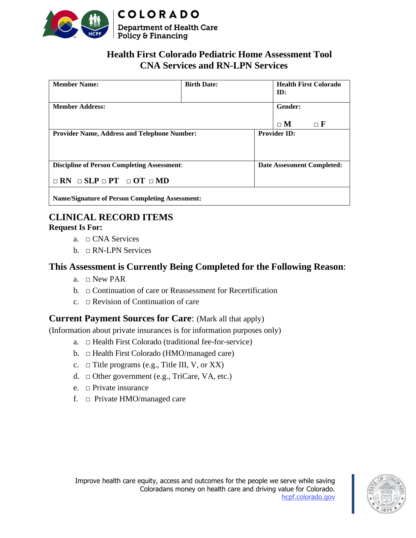

## **Health First Colorado Pediatric Home Assessment Tool CNA Services and RN-LPN Services**

| <b>Member Name:</b>                                    | <b>Birth Date:</b> | <b>Health First Colorado</b><br>ID: |
|--------------------------------------------------------|--------------------|-------------------------------------|
| <b>Member Address:</b>                                 |                    | Gender:                             |
|                                                        |                    | $\Box$ F<br>$\sqcap$ M              |
| <b>Provider Name, Address and Telephone Number:</b>    |                    | <b>Provider ID:</b>                 |
| <b>Discipline of Person Completing Assessment:</b>     |                    | Date Assessment Completed:          |
| $\Box$ RN $\Box$ SLP $\Box$ PT $\Box$ OT $\Box$ MD     |                    |                                     |
| <b>Name/Signature of Person Completing Assessment:</b> |                    |                                     |

### **CLINICAL RECORD ITEMS Request Is For:**

- a.  $\Box$  CNA Services
- b.  $\Box$  RN-LPN Services

### **This Assessment is Currently Being Completed for the Following Reason**:

- a.  $\square$  New PAR
- b.  $\Box$  Continuation of care or Reassessment for Recertification
- c.  $\Box$  Revision of Continuation of care

### **Current Payment Sources for Care**: (Mark all that apply)

(Information about private insurances is for information purposes only)

- a.  $\Box$  Health First Colorado (traditional fee-for-service)
- b.  $\Box$  Health First Colorado (HMO/managed care)
- c.  $\Box$  Title programs (e.g., Title III, V, or XX)
- d.  $\Box$  Other government (e.g., TriCare, VA, etc.)
- e. □ Private insurance
- f.  $\Box$  Private HMO/managed care

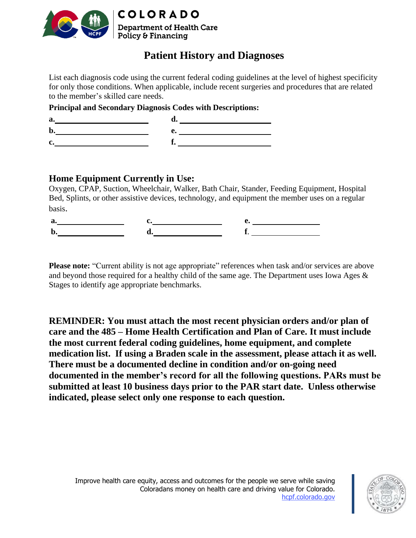

## **Patient History and Diagnoses**

List each diagnosis code using the current federal coding guidelines at the level of highest specificity for only those conditions. When applicable, include recent surgeries and procedures that are related to the member's skilled care needs.

**Principal and Secondary Diagnosis Codes with Descriptions:**

| . . |  |
|-----|--|
|     |  |

### **Home Equipment Currently in Use:**

Oxygen, CPAP, Suction, Wheelchair, Walker, Bath Chair, Stander, Feeding Equipment, Hospital Bed, Splints, or other assistive devices, technology, and equipment the member uses on a regular basis.

**Please note:** "Current ability is not age appropriate" references when task and/or services are above and beyond those required for a healthy child of the same age. The Department uses Iowa Ages & Stages to identify age appropriate benchmarks.

**REMINDER: You must attach the most recent physician orders and/or plan of care and the 485 – Home Health Certification and Plan of Care. It must include the most current federal coding guidelines, home equipment, and complete medication list. If using a Braden scale in the assessment, please attach it as well. There must be a documented decline in condition and/or on-going need documented in the member's record for all the following questions. PARs must be submitted at least 10 business days prior to the PAR start date. Unless otherwise indicated, please select only one response to each question.**

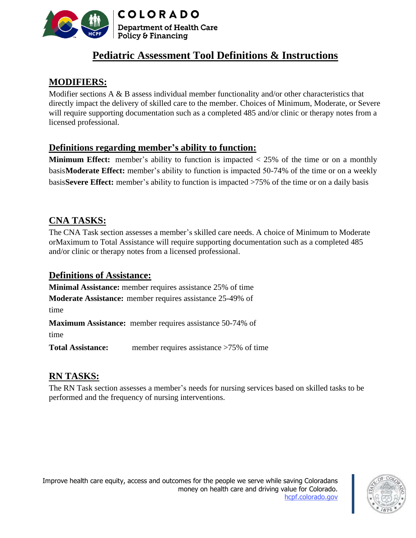

# **Pediatric Assessment Tool Definitions & Instructions**

## **MODIFIERS:**

Modifier sections A & B assess individual member functionality and/or other characteristics that directly impact the delivery of skilled care to the member. Choices of Minimum, Moderate, or Severe will require supporting documentation such as a completed 485 and/or clinic or therapy notes from a licensed professional.

## **Definitions regarding member's ability to function:**

**Minimum Effect:** member's ability to function is impacted  $\lt 25\%$  of the time or on a monthly basis**Moderate Effect:** member's ability to function is impacted 50-74% of the time or on a weekly basis**Severe Effect:** member's ability to function is impacted >75% of the time or on a daily basis

## **CNA TASKS:**

The CNA Task section assesses a member's skilled care needs. A choice of Minimum to Moderate orMaximum to Total Assistance will require supporting documentation such as a completed 485 and/or clinic or therapy notes from a licensed professional.

### **Definitions of Assistance:**

**Minimal Assistance:** member requires assistance 25% of time **Moderate Assistance:** member requires assistance 25-49% of time **Maximum Assistance:** member requires assistance 50-74% of time **Total Assistance:** member requires assistance >75% of time

## **RN TASKS:**

The RN Task section assesses a member's needs for nursing services based on skilled tasks to be performed and the frequency of nursing interventions.

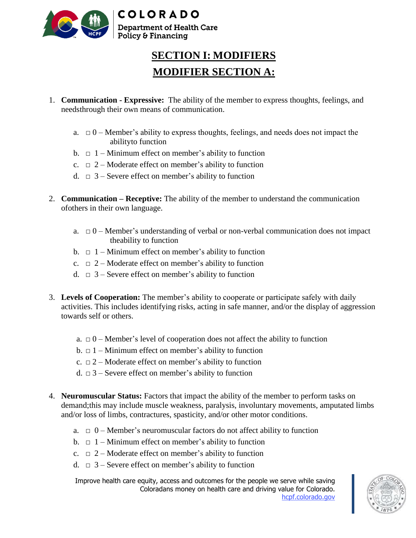

# **SECTION I: MODIFIERS MODIFIER SECTION A:**

- 1. **Communication - Expressive:** The ability of the member to express thoughts, feelings, and needsthrough their own means of communication.
	- a.  $\Box$  0 Member's ability to express thoughts, feelings, and needs does not impact the abilityto function
	- b.  $\Box$  1 Minimum effect on member's ability to function
	- c.  $\Box$  2 Moderate effect on member's ability to function
	- d.  $\Box$  3 Severe effect on member's ability to function
- 2. **Communication – Receptive:** The ability of the member to understand the communication ofothers in their own language.
	- a.  $\Box$  0 Member's understanding of verbal or non-verbal communication does not impact theability to function
	- b.  $\Box$  1 Minimum effect on member's ability to function
	- c.  $\Box$  2 Moderate effect on member's ability to function
	- d.  $\Box$  3 Severe effect on member's ability to function
- 3. **Levels of Cooperation:** The member's ability to cooperate or participate safely with daily activities. This includes identifying risks, acting in safe manner, and/or the display of aggression towards self or others.
	- a.  $\Box$  0 Member's level of cooperation does not affect the ability to function
	- b.  $\Box$  1 Minimum effect on member's ability to function
	- c.  $\Box$  2 Moderate effect on member's ability to function
	- d.  $\Box$  3 Severe effect on member's ability to function
- 4. **Neuromuscular Status:** Factors that impact the ability of the member to perform tasks on demand;this may include muscle weakness, paralysis, involuntary movements, amputated limbs and/or loss of limbs, contractures, spasticity, and/or other motor conditions.
	- a.  $\Box$  0 Member's neuromuscular factors do not affect ability to function
	- b.  $\Box$  1 Minimum effect on member's ability to function
	- c.  $\Box$  2 Moderate effect on member's ability to function
	- d.  $\Box$  3 Severe effect on member's ability to function

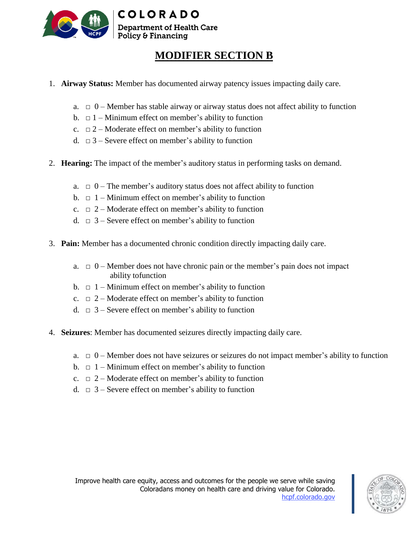

# **MODIFIER SECTION B**

- 1. **Airway Status:** Member has documented airway patency issues impacting daily care.
	- a.  $\Box$  0 Member has stable airway or airway status does not affect ability to function
	- b.  $\Box$  1 Minimum effect on member's ability to function
	- c.  $\Box$  2 Moderate effect on member's ability to function
	- d.  $\Box$  3 Severe effect on member's ability to function
- 2. **Hearing:** The impact of the member's auditory status in performing tasks on demand.
	- a.  $\Box$  0 The member's auditory status does not affect ability to function
	- b.  $\Box$  1 Minimum effect on member's ability to function
	- c.  $\Box$  2 Moderate effect on member's ability to function
	- d.  $\Box$  3 Severe effect on member's ability to function
- 3. **Pain:** Member has a documented chronic condition directly impacting daily care.
	- a.  $\Box$  0 Member does not have chronic pain or the member's pain does not impact ability tofunction
	- b.  $\Box$  1 Minimum effect on member's ability to function
	- c.  $\Box$  2 Moderate effect on member's ability to function
	- d.  $\Box$  3 Severe effect on member's ability to function
- 4. **Seizures**: Member has documented seizures directly impacting daily care.
	- a.  $\Box$  0 Member does not have seizures or seizures do not impact member's ability to function
	- b.  $\Box$  1 Minimum effect on member's ability to function
	- c.  $\Box$  2 Moderate effect on member's ability to function
	- d.  $\Box$  3 Severe effect on member's ability to function

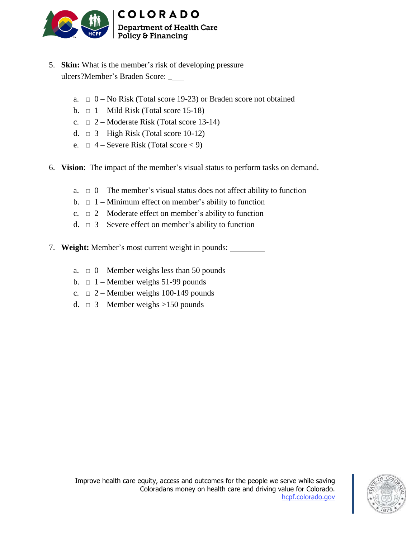

- 5. **Skin:** What is the member's risk of developing pressure ulcers?Member's Braden Score: \_
	- a.  $\Box$  0 No Risk (Total score 19-23) or Braden score not obtained
	- b.  $\Box$  1 Mild Risk (Total score 15-18)
	- c.  $\Box$  2 Moderate Risk (Total score 13-14)
	- d.  $\Box$  3 High Risk (Total score 10-12)
	- e.  $\Box$  4 Severe Risk (Total score < 9)
- 6. **Vision**: The impact of the member's visual status to perform tasks on demand.
	- a.  $\Box$  0 The member's visual status does not affect ability to function
	- b.  $\Box$  1 Minimum effect on member's ability to function
	- c.  $\Box$  2 Moderate effect on member's ability to function
	- d.  $\Box$  3 Severe effect on member's ability to function
- 7. **Weight:** Member's most current weight in pounds:
	- a.  $\Box$  0 Member weighs less than 50 pounds
	- b.  $\Box$  1 Member weighs 51-99 pounds
	- c.  $\Box$  2 Member weighs 100-149 pounds
	- d.  $\Box$  3 Member weighs >150 pounds

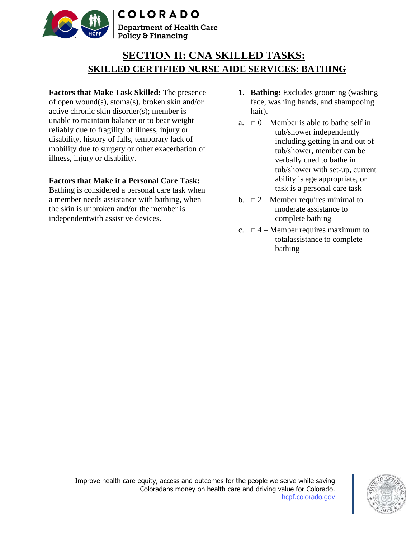

# **SECTION II: CNA SKILLED TASKS: SKILLED CERTIFIED NURSE AIDE SERVICES: BATHING**

**Factors that Make Task Skilled:** The presence of open wound(s), stoma(s), broken skin and/or active chronic skin disorder(s); member is unable to maintain balance or to bear weight reliably due to fragility of illness, injury or disability, history of falls, temporary lack of mobility due to surgery or other exacerbation of illness, injury or disability.

#### **Factors that Make it a Personal Care Task:**

Bathing is considered a personal care task when a member needs assistance with bathing, when the skin is unbroken and/or the member is independentwith assistive devices.

- **1. Bathing:** Excludes grooming (washing face, washing hands, and shampooing hair).
- a.  $\Box$  0 Member is able to bathe self in tub/shower independently including getting in and out of tub/shower, member can be verbally cued to bathe in tub/shower with set-up, current ability is age appropriate, or task is a personal care task
- b.  $\Box$  2 Member requires minimal to moderate assistance to complete bathing
- c.  $\Box$  4 Member requires maximum to totalassistance to complete bathing

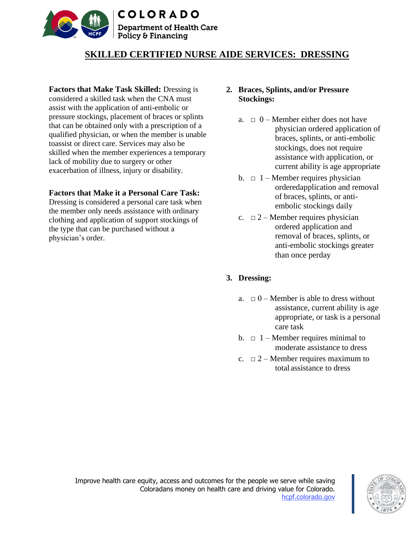

## **SKILLED CERTIFIED NURSE AIDE SERVICES: DRESSING**

**Factors that Make Task Skilled:** Dressing is considered a skilled task when the CNA must assist with the application of anti-embolic or pressure stockings, placement of braces or splints that can be obtained only with a prescription of a qualified physician, or when the member is unable toassist or direct care. Services may also be skilled when the member experiences a temporary lack of mobility due to surgery or other exacerbation of illness, injury or disability.

#### **Factors that Make it a Personal Care Task:**

Dressing is considered a personal care task when the member only needs assistance with ordinary clothing and application of support stockings of the type that can be purchased without a physician's order.

#### **2. Braces, Splints, and/or Pressure Stockings:**

- a.  $\Box$  0 Member either does not have physician ordered application of braces, splints, or anti-embolic stockings, does not require assistance with application, or current ability is age appropriate
- b.  $\Box$  1 Member requires physician orderedapplication and removal of braces, splints, or antiembolic stockings daily
- c.  $\Box$  2 Member requires physician ordered application and removal of braces, splints, or anti-embolic stockings greater than once perday

#### **3. Dressing:**

- a.  $\Box$  0 Member is able to dress without assistance, current ability is age appropriate, or task is a personal care task
- b.  $\Box$  1 Member requires minimal to moderate assistance to dress
- c.  $\Box$  2 Member requires maximum to total assistance to dress

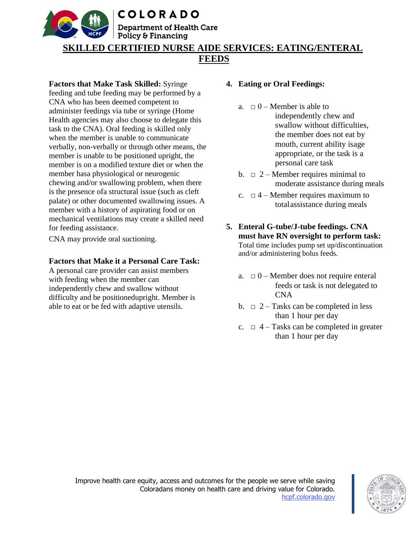**COLORADO Department of Health Care Policy & Financing** 

## **SKILLED CERTIFIED NURSE AIDE SERVICES: EATING/ENTERAL FEEDS**

**Factors that Make Task Skilled:** Syringe feeding and tube feeding may be performed by a CNA who has been deemed competent to administer feedings via tube or syringe (Home Health agencies may also choose to delegate this task to the CNA). Oral feeding is skilled only when the member is unable to communicate verbally, non-verbally or through other means, the member is unable to be positioned upright, the member is on a modified texture diet or when the member hasa physiological or neurogenic chewing and/or swallowing problem, when there is the presence ofa structural issue (such as cleft palate) or other documented swallowing issues. A member with a history of aspirating food or on mechanical ventilations may create a skilled need for feeding assistance.

CNA may provide oral suctioning.

#### **Factors that Make it a Personal Care Task:**

A personal care provider can assist members with feeding when the member can independently chew and swallow without difficulty and be positionedupright. Member is able to eat or be fed with adaptive utensils.

#### **4. Eating or Oral Feedings:**

- $a \cap 0$  Member is able to independently chew and swallow without difficulties, the member does not eat by mouth, current ability isage appropriate, or the task is a personal care task
- b.  $\Box$  2 Member requires minimal to moderate assistance during meals
- c.  $\Box$  4 Member requires maximum to total assistance during meals
- **5. Enteral G-tube/J-tube feedings. CNA must have RN oversight to perform task:** Total time includes pump set up/discontinuation and/or administering bolus feeds.
	- a.  $\Box$  0 Member does not require enteral feeds or task is not delegated to CNA
	- b.  $\Box$  2 Tasks can be completed in less than 1 hour per day
	- c.  $\Box$  4 Tasks can be completed in greater than 1 hour per day

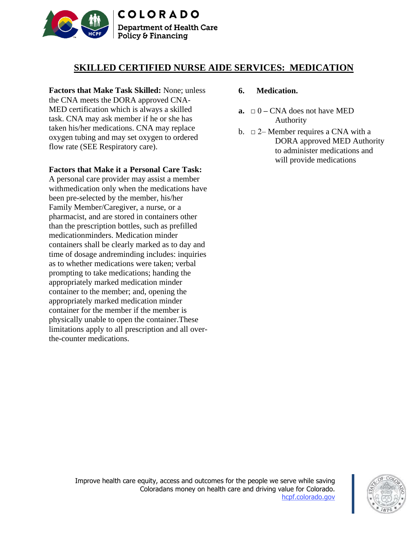

### **SKILLED CERTIFIED NURSE AIDE SERVICES: MEDICATION**

**Factors that Make Task Skilled:** None; unless the CNA meets the DORA approved CNA-MED certification which is always a skilled task. CNA may ask member if he or she has taken his/her medications. CNA may replace oxygen tubing and may set oxygen to ordered flow rate (SEE Respiratory care).

#### **Factors that Make it a Personal Care Task:**

A personal care provider may assist a member withmedication only when the medications have been pre-selected by the member, his/her Family Member/Caregiver, a nurse, or a pharmacist, and are stored in containers other than the prescription bottles, such as prefilled medicationminders. Medication minder containers shall be clearly marked as to day and time of dosage andreminding includes: inquiries as to whether medications were taken; verbal prompting to take medications; handing the appropriately marked medication minder container to the member; and, opening the appropriately marked medication minder container for the member if the member is physically unable to open the container.These limitations apply to all prescription and all overthe-counter medications.

#### **6. Medication.**

- **a.**  $\Box$  0 CNA does not have MED Authority
- b.  $\Box$  2– Member requires a CNA with a DORA approved MED Authority to administer medications and will provide medications

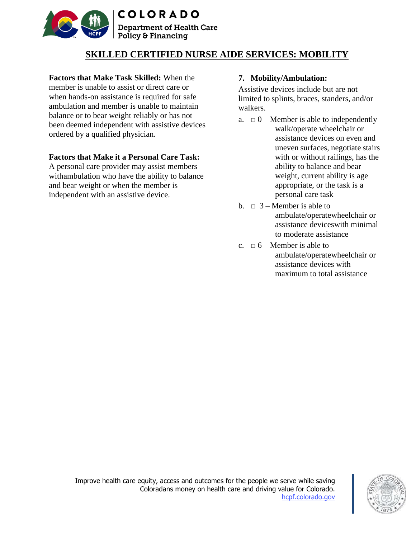

## **SKILLED CERTIFIED NURSE AIDE SERVICES: MOBILITY**

**Factors that Make Task Skilled:** When the member is unable to assist or direct care or when hands-on assistance is required for safe ambulation and member is unable to maintain balance or to bear weight reliably or has not been deemed independent with assistive devices ordered by a qualified physician.

#### **Factors that Make it a Personal Care Task:**

A personal care provider may assist members withambulation who have the ability to balance and bear weight or when the member is independent with an assistive device.

#### **7. Mobility/Ambulation:**

Assistive devices include but are not limited to splints, braces, standers, and/or walkers.

- a.  $\Box$  0 Member is able to independently walk/operate wheelchair or assistance devices on even and uneven surfaces, negotiate stairs with or without railings, has the ability to balance and bear weight, current ability is age appropriate, or the task is a personal care task
- b.  $\Box$  3 Member is able to ambulate/operatewheelchair or assistance deviceswith minimal to moderate assistance
- c.  $\Box$  6 Member is able to ambulate/operatewheelchair or assistance devices with maximum to total assistance

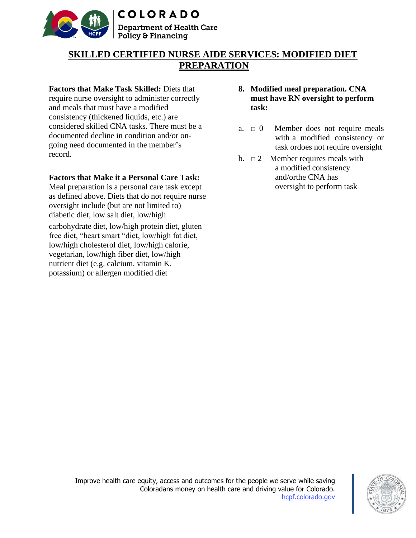

## **SKILLED CERTIFIED NURSE AIDE SERVICES: MODIFIED DIET PREPARATION**

#### **Factors that Make Task Skilled:** Diets that

require nurse oversight to administer correctly and meals that must have a modified consistency (thickened liquids, etc.) are considered skilled CNA tasks. There must be a documented decline in condition and/or ongoing need documented in the member's record.

#### **Factors that Make it a Personal Care Task:**

Meal preparation is a personal care task except as defined above. Diets that do not require nurse oversight include (but are not limited to) diabetic diet, low salt diet, low/high carbohydrate diet, low/high protein diet, gluten free diet, "heart smart "diet, low/high fat diet, low/high cholesterol diet, low/high calorie, vegetarian, low/high fiber diet, low/high nutrient diet (e.g. calcium, vitamin K, potassium) or allergen modified diet

- **8. Modified meal preparation. CNA must have RN oversight to perform task:**
- a.  $\Box$  0 Member does not require meals with a modified consistency or task ordoes not require oversight
- b.  $\Box$  2 Member requires meals with a modified consistency and/orthe CNA has oversight to perform task

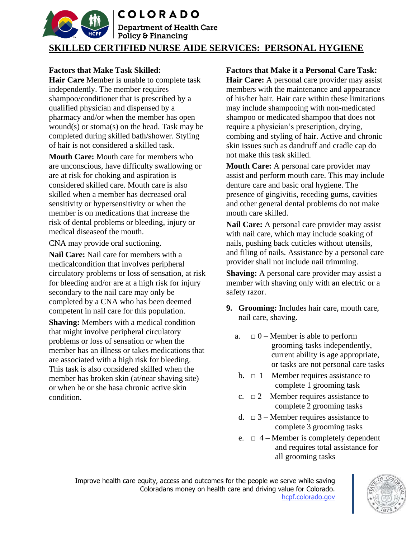### **COLORADO Department of Health Care Policy & Financing SKILLED CERTIFIED NURSE AIDE SERVICES: PERSONAL HYGIENE**

#### **Factors that Make Task Skilled:**

**Hair Care** Member is unable to complete task independently. The member requires shampoo/conditioner that is prescribed by a qualified physician and dispensed by a pharmacy and/or when the member has open wound(s) or stoma(s) on the head. Task may be completed during skilled bath/shower. Styling of hair is not considered a skilled task.

**Mouth Care:** Mouth care for members who are unconscious, have difficulty swallowing or are at risk for choking and aspiration is considered skilled care. Mouth care is also skilled when a member has decreased oral sensitivity or hypersensitivity or when the member is on medications that increase the risk of dental problems or bleeding, injury or medical diseaseof the mouth.

CNA may provide oral suctioning.

**Nail Care:** Nail care for members with a medicalcondition that involves peripheral circulatory problems or loss of sensation, at risk for bleeding and/or are at a high risk for injury secondary to the nail care may only be completed by a CNA who has been deemed competent in nail care for this population.

**Shaving:** Members with a medical condition that might involve peripheral circulatory problems or loss of sensation or when the member has an illness or takes medications that are associated with a high risk for bleeding. This task is also considered skilled when the member has broken skin (at/near shaving site) or when he or she hasa chronic active skin condition.

#### **Factors that Make it a Personal Care Task:**

**Hair Care:** A personal care provider may assist members with the maintenance and appearance of his/her hair. Hair care within these limitations may include shampooing with non-medicated shampoo or medicated shampoo that does not require a physician's prescription, drying, combing and styling of hair. Active and chronic skin issues such as dandruff and cradle cap do not make this task skilled.

**Mouth Care:** A personal care provider may assist and perform mouth care. This may include denture care and basic oral hygiene. The presence of gingivitis, receding gums, cavities and other general dental problems do not make mouth care skilled.

**Nail Care:** A personal care provider may assist with nail care, which may include soaking of nails, pushing back cuticles without utensils, and filing of nails. Assistance by a personal care provider shall not include nail trimming.

**Shaving:** A personal care provider may assist a member with shaving only with an electric or a safety razor.

- **9. Grooming:** Includes hair care, mouth care, nail care, shaving.
	- a.  $\Box$  0 Member is able to perform grooming tasks independently, current ability is age appropriate, or tasks are not personal care tasks
	- b.  $\Box$  1 Member requires assistance to complete 1 grooming task
	- c.  $\Box$  2 Member requires assistance to complete 2 grooming tasks
	- d.  $\Box$  3 Member requires assistance to complete 3 grooming tasks
	- e.  $\Box$  4 Member is completely dependent and requires total assistance for all grooming tasks

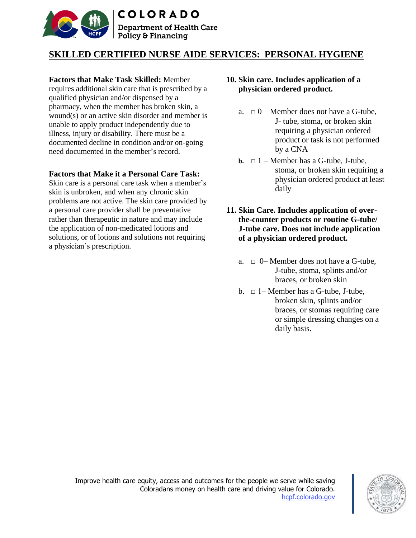

## **SKILLED CERTIFIED NURSE AIDE SERVICES: PERSONAL HYGIENE**

**Factors that Make Task Skilled:** Member requires additional skin care that is prescribed by a qualified physician and/or dispensed by a pharmacy, when the member has broken skin, a wound(s) or an active skin disorder and member is unable to apply product independently due to illness, injury or disability. There must be a documented decline in condition and/or on-going need documented in the member's record.

#### **Factors that Make it a Personal Care Task:**

Skin care is a personal care task when a member's skin is unbroken, and when any chronic skin problems are not active. The skin care provided by a personal care provider shall be preventative rather than therapeutic in nature and may include the application of non-medicated lotions and solutions, or of lotions and solutions not requiring a physician's prescription.

#### **10. Skin care. Includes application of a physician ordered product.**

- a.  $\Box$  0 Member does not have a G-tube, J- tube, stoma, or broken skin requiring a physician ordered product or task is not performed by a CNA
- **b.**  $\Box$  1 Member has a G-tube, J-tube, stoma, or broken skin requiring a physician ordered product at least daily
- **11. Skin Care. Includes application of overthe-counter products or routine G-tube/ J-tube care. Does not include application of a physician ordered product.**
	- a.  $\Box$  0– Member does not have a G-tube, J-tube, stoma, splints and/or braces, or broken skin
	- b.  $\Box$  1– Member has a G-tube, J-tube, broken skin, splints and/or braces, or stomas requiring care or simple dressing changes on a daily basis.

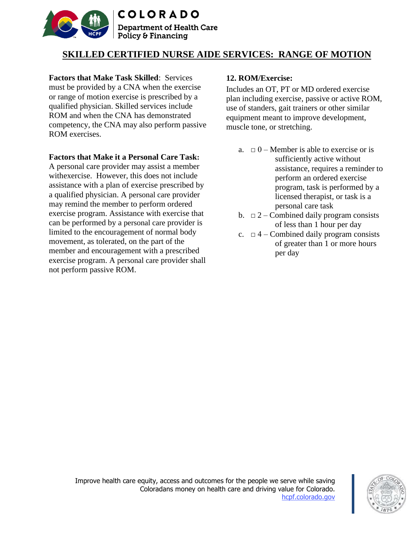

## **SKILLED CERTIFIED NURSE AIDE SERVICES: RANGE OF MOTION**

**Factors that Make Task Skilled**: Services must be provided by a CNA when the exercise or range of motion exercise is prescribed by a qualified physician. Skilled services include ROM and when the CNA has demonstrated competency, the CNA may also perform passive ROM exercises.

#### **Factors that Make it a Personal Care Task:**

A personal care provider may assist a member withexercise. However, this does not include assistance with a plan of exercise prescribed by a qualified physician. A personal care provider may remind the member to perform ordered exercise program. Assistance with exercise that can be performed by a personal care provider is limited to the encouragement of normal body movement, as tolerated, on the part of the member and encouragement with a prescribed exercise program. A personal care provider shall not perform passive ROM.

#### **12. ROM/Exercise:**

Includes an OT, PT or MD ordered exercise plan including exercise, passive or active ROM, use of standers, gait trainers or other similar equipment meant to improve development, muscle tone, or stretching.

- a.  $\Box$  0 Member is able to exercise or is sufficiently active without assistance, requires a reminder to perform an ordered exercise program, task is performed by a licensed therapist, or task is a personal care task
- b.  $\Box$  2 Combined daily program consists of less than 1 hour per day
- c.  $\Box$  4 Combined daily program consists of greater than 1 or more hours per day

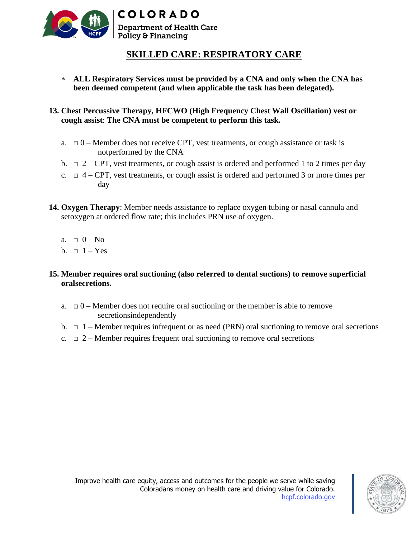

## **SKILLED CARE: RESPIRATORY CARE**

 **ALL Respiratory Services must be provided by a CNA and only when the CNA has been deemed competent (and when applicable the task has been delegated).**

#### **13. Chest Percussive Therapy, HFCWO (High Frequency Chest Wall Oscillation) vest or cough assist**: **The CNA must be competent to perform this task.**

- a.  $\Box$  0 Member does not receive CPT, vest treatments, or cough assistance or task is notperformed by the CNA
- b.  $\Box$  2 CPT, vest treatments, or cough assist is ordered and performed 1 to 2 times per day
- c.  $\Box$  4 CPT, vest treatments, or cough assist is ordered and performed 3 or more times per day
- **14. Oxygen Therapy**: Member needs assistance to replace oxygen tubing or nasal cannula and setoxygen at ordered flow rate; this includes PRN use of oxygen.
	- a.  $\Box$  0 No
	- b.  $\Box$  1 Yes
- **15. Member requires oral suctioning (also referred to dental suctions) to remove superficial oralsecretions.**
	- a.  $\Box$  0 Member does not require oral suctioning or the member is able to remove secretionsindependently
	- b.  $\Box$  1 Member requires infrequent or as need (PRN) oral suctioning to remove oral secretions
	- c.  $\Box$  2 Member requires frequent oral suctioning to remove oral secretions

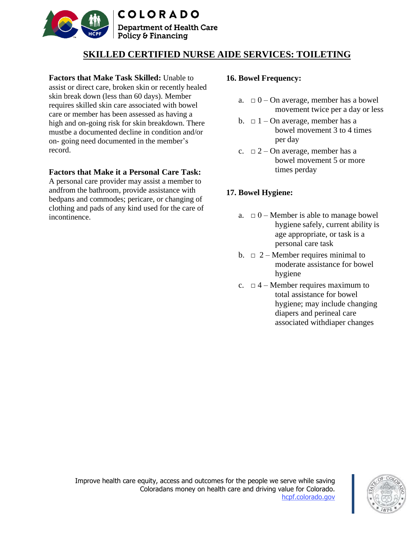

## **SKILLED CERTIFIED NURSE AIDE SERVICES: TOILETING**

**Factors that Make Task Skilled:** Unable to assist or direct care, broken skin or recently healed skin break down (less than 60 days). Member requires skilled skin care associated with bowel care or member has been assessed as having a high and on-going risk for skin breakdown. There mustbe a documented decline in condition and/or on- going need documented in the member's record.

#### **Factors that Make it a Personal Care Task:**

A personal care provider may assist a member to andfrom the bathroom, provide assistance with bedpans and commodes; pericare, or changing of clothing and pads of any kind used for the care of incontinence.

#### **16. Bowel Frequency:**

- a.  $\Box$  0 On average, member has a bowel movement twice per a day or less
- b.  $\Box$  1 On average, member has a bowel movement 3 to 4 times per day
- c.  $\Box$  2 On average, member has a bowel movement 5 or more times perday

#### **17. Bowel Hygiene:**

- a.  $\Box$  0 Member is able to manage bowel hygiene safely, current ability is age appropriate, or task is a personal care task
- b.  $\Box$  2 Member requires minimal to moderate assistance for bowel hygiene
- c.  $\Box$  4 Member requires maximum to total assistance for bowel hygiene; may include changing diapers and perineal care associated withdiaper changes

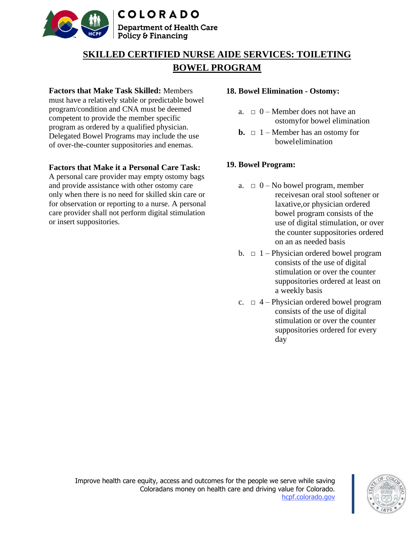

## **SKILLED CERTIFIED NURSE AIDE SERVICES: TOILETING BOWEL PROGRAM**

#### **Factors that Make Task Skilled:** Members

must have a relatively stable or predictable bowel program/condition and CNA must be deemed competent to provide the member specific program as ordered by a qualified physician. Delegated Bowel Programs may include the use of over-the-counter suppositories and enemas.

#### **Factors that Make it a Personal Care Task:**

A personal care provider may empty ostomy bags and provide assistance with other ostomy care only when there is no need for skilled skin care or for observation or reporting to a nurse. A personal care provider shall not perform digital stimulation or insert suppositories.

#### **18. Bowel Elimination - Ostomy:**

- a.  $\Box$  0 Member does not have an ostomyfor bowel elimination
- **b.**  $\Box$  1 Member has an ostomy for bowel elimination

#### **19. Bowel Program:**

- a.  $\Box$  0 No bowel program, member receivesan oral stool softener or laxative,or physician ordered bowel program consists of the use of digital stimulation, or over the counter suppositories ordered on an as needed basis
- b.  $\Box$  1 Physician ordered bowel program consists of the use of digital stimulation or over the counter suppositories ordered at least on a weekly basis
- c.  $\Box$  4 Physician ordered bowel program consists of the use of digital stimulation or over the counter suppositories ordered for every day

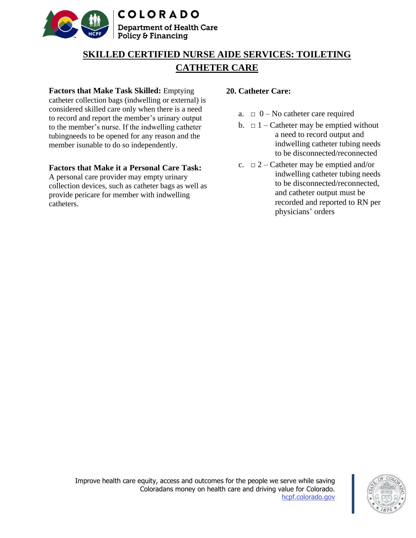

## **SKILLED CERTIFIED NURSE AIDE SERVICES: TOILETING CATHETER CARE**

#### **Factors that Make Task Skilled:** Emptying

catheter collection bags (indwelling or external) is considered skilled care only when there is a need to record and report the member's urinary output to the member's nurse. If the indwelling catheter tubingneeds to be opened for any reason and the member isunable to do so independently.

#### **Factors that Make it a Personal Care Task:**

A personal care provider may empty urinary collection devices, such as catheter bags as well as provide pericare for member with indwelling catheters.

#### **20. Catheter Care:**

- a.  $\Box$  0 No catheter care required
- b.  $\Box$  1 Catheter may be emptied without a need to record output and indwelling catheter tubing needs to be disconnected/reconnected
- c.  $\Box$  2 Catheter may be emptied and/or indwelling catheter tubing needs to be disconnected/reconnected, and catheter output must be recorded and reported to RN per physicians' orders

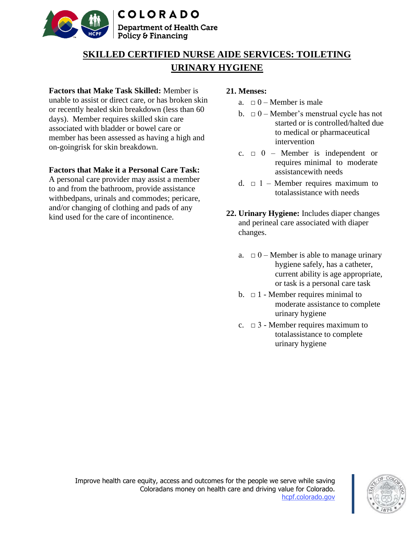

## **SKILLED CERTIFIED NURSE AIDE SERVICES: TOILETING URINARY HYGIENE**

#### **Factors that Make Task Skilled:** Member is

unable to assist or direct care, or has broken skin or recently healed skin breakdown (less than 60 days). Member requires skilled skin care associated with bladder or bowel care or member has been assessed as having a high and on-goingrisk for skin breakdown.

#### **Factors that Make it a Personal Care Task:**

A personal care provider may assist a member to and from the bathroom, provide assistance withbedpans, urinals and commodes; pericare, and/or changing of clothing and pads of any kind used for the care of incontinence.

#### **21. Menses:**

- a.  $\Box$  0 Member is male
- b.  $\Box$  0 Member's menstrual cycle has not started or is controlled/halted due to medical or pharmaceutical intervention
- c.  $\Box$  0 Member is independent or requires minimal to moderate assistancewith needs
- d.  $\Box$  1 Member requires maximum to totalassistance with needs
- **22. Urinary Hygiene:** Includes diaper changes and perineal care associated with diaper changes.
	- a.  $\Box$  0 Member is able to manage urinary hygiene safely, has a catheter, current ability is age appropriate, or task is a personal care task
	- b.  $\Box$  1 Member requires minimal to moderate assistance to complete urinary hygiene
	- c.  $\Box$  3 Member requires maximum to totalassistance to complete urinary hygiene

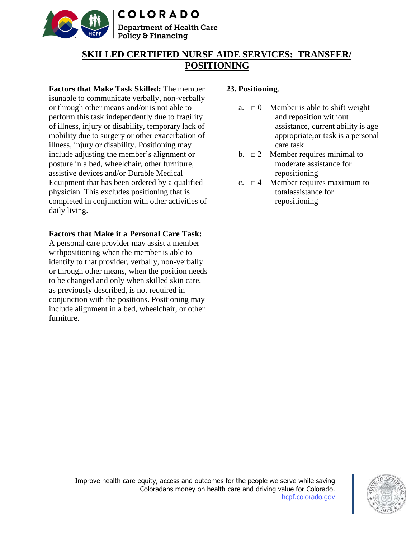

## **SKILLED CERTIFIED NURSE AIDE SERVICES: TRANSFER/ POSITIONING**

**Factors that Make Task Skilled:** The member isunable to communicate verbally, non-verbally or through other means and/or is not able to perform this task independently due to fragility of illness, injury or disability, temporary lack of mobility due to surgery or other exacerbation of illness, injury or disability. Positioning may include adjusting the member's alignment or posture in a bed, wheelchair, other furniture, assistive devices and/or Durable Medical Equipment that has been ordered by a qualified physician. This excludes positioning that is completed in conjunction with other activities of daily living.

#### **Factors that Make it a Personal Care Task:**

A personal care provider may assist a member withpositioning when the member is able to identify to that provider, verbally, non-verbally or through other means, when the position needs to be changed and only when skilled skin care, as previously described, is not required in conjunction with the positions. Positioning may include alignment in a bed, wheelchair, or other furniture.

#### **23. Positioning**.

- a.  $\Box$  0 Member is able to shift weight and reposition without assistance, current ability is age appropriate,or task is a personal care task
- b.  $\Box$  2 Member requires minimal to moderate assistance for repositioning
- c.  $\Box$  4 Member requires maximum to totalassistance for repositioning

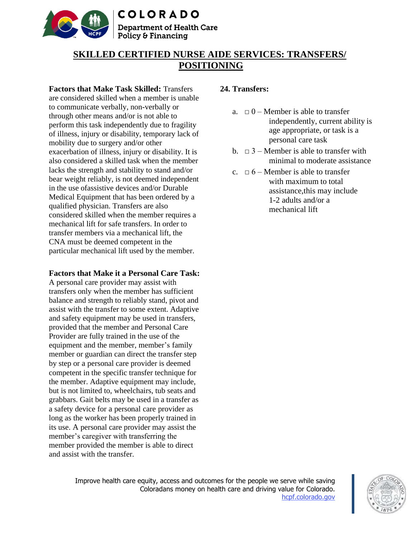

## **SKILLED CERTIFIED NURSE AIDE SERVICES: TRANSFERS/ POSITIONING**

**Factors that Make Task Skilled:** Transfers are considered skilled when a member is unable to communicate verbally, non-verbally or through other means and/or is not able to perform this task independently due to fragility of illness, injury or disability, temporary lack of mobility due to surgery and/or other exacerbation of illness, injury or disability. It is also considered a skilled task when the member lacks the strength and stability to stand and/or bear weight reliably, is not deemed independent in the use ofassistive devices and/or Durable Medical Equipment that has been ordered by a qualified physician. Transfers are also considered skilled when the member requires a mechanical lift for safe transfers. In order to transfer members via a mechanical lift, the CNA must be deemed competent in the particular mechanical lift used by the member.

#### **Factors that Make it a Personal Care Task:**

A personal care provider may assist with transfers only when the member has sufficient balance and strength to reliably stand, pivot and assist with the transfer to some extent. Adaptive and safety equipment may be used in transfers, provided that the member and Personal Care Provider are fully trained in the use of the equipment and the member, member's family member or guardian can direct the transfer step by step or a personal care provider is deemed competent in the specific transfer technique for the member. Adaptive equipment may include, but is not limited to, wheelchairs, tub seats and grabbars. Gait belts may be used in a transfer as a safety device for a personal care provider as long as the worker has been properly trained in its use. A personal care provider may assist the member's caregiver with transferring the member provided the member is able to direct and assist with the transfer.

#### **24. Transfers:**

- a.  $\Box$  0 Member is able to transfer independently, current ability is age appropriate, or task is a personal care task
- b.  $\Box$  3 Member is able to transfer with minimal to moderate assistance
- c.  $\Box$  6 Member is able to transfer with maximum to total assistance,this may include 1-2 adults and/or a mechanical lift

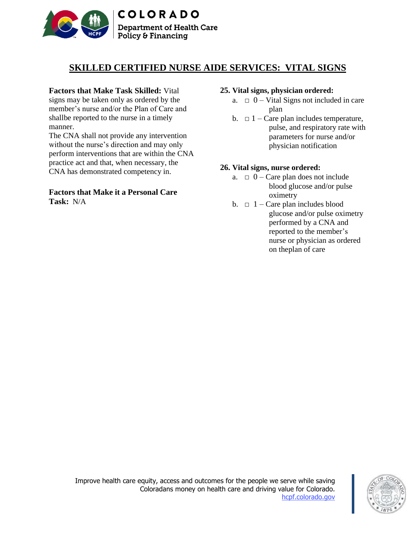

## **SKILLED CERTIFIED NURSE AIDE SERVICES: VITAL SIGNS**

#### **Factors that Make Task Skilled:** Vital

signs may be taken only as ordered by the member's nurse and/or the Plan of Care and shallbe reported to the nurse in a timely manner.

The CNA shall not provide any intervention without the nurse's direction and may only perform interventions that are within the CNA practice act and that, when necessary, the CNA has demonstrated competency in.

#### **Factors that Make it a Personal Care Task:** N/A

#### **25. Vital signs, physician ordered:**

- a.  $\Box$  0 Vital Signs not included in care plan
- b.  $\Box$  1 Care plan includes temperature, pulse, and respiratory rate with parameters for nurse and/or physician notification

#### **26. Vital signs, nurse ordered:**

- a.  $\Box$  0 Care plan does not include blood glucose and/or pulse oximetry
- b.  $\Box$  1 Care plan includes blood glucose and/or pulse oximetry performed by a CNA and reported to the member's nurse or physician as ordered on theplan of care

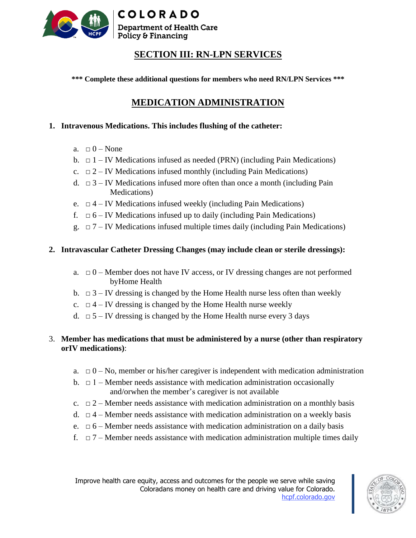

## **SECTION III: RN-LPN SERVICES**

**\*\*\* Complete these additional questions for members who need RN/LPN Services \*\*\***

## **MEDICATION ADMINISTRATION**

#### **1. Intravenous Medications. This includes flushing of the catheter:**

- a.  $\Box$  0 None
- b.  $\Box$  1 IV Medications infused as needed (PRN) (including Pain Medications)
- c.  $\square$  2 IV Medications infused monthly (including Pain Medications)
- d.  $\Box$  3 IV Medications infused more often than once a month (including Pain Medications)
- e.  $\Box$  4 IV Medications infused weekly (including Pain Medications)
- f.  $\Box$  6 IV Medications infused up to daily (including Pain Medications)
- g.  $\Box$  7 IV Medications infused multiple times daily (including Pain Medications)

#### **2. Intravascular Catheter Dressing Changes (may include clean or sterile dressings):**

- a.  $\Box$  0 Member does not have IV access, or IV dressing changes are not performed byHome Health
- b.  $\Box$  3 IV dressing is changed by the Home Health nurse less often than weekly
- c.  $\Box$  4 IV dressing is changed by the Home Health nurse weekly
- d.  $\Box$  5 IV dressing is changed by the Home Health nurse every 3 days

#### 3. **Member has medications that must be administered by a nurse (other than respiratory orIV medications)**:

- a.  $\Box$  0 No, member or his/her caregiver is independent with medication administration
- b.  $\Box$  1 Member needs assistance with medication administration occasionally and/orwhen the member's caregiver is not available
- c.  $\Box$  2 Member needs assistance with medication administration on a monthly basis
- d.  $\Box$  4 Member needs assistance with medication administration on a weekly basis
- e.  $\Box$  6 Member needs assistance with medication administration on a daily basis
- f.  $\Box$  7 Member needs assistance with medication administration multiple times daily

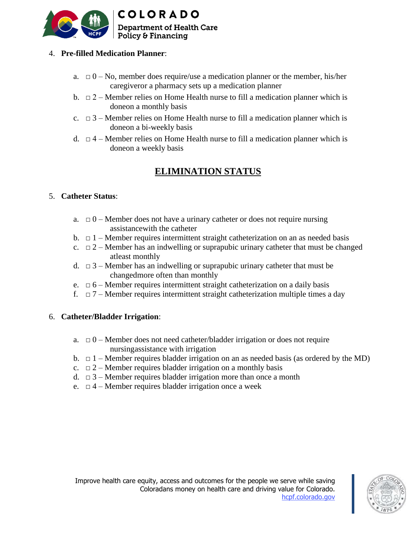

#### 4. **Pre-filled Medication Planner**:

- a.  $\Box$  0 No, member does require/use a medication planner or the member, his/her caregiveror a pharmacy sets up a medication planner
- b.  $\Box$  2 Member relies on Home Health nurse to fill a medication planner which is doneon a monthly basis
- c.  $\Box$  3 Member relies on Home Health nurse to fill a medication planner which is doneon a bi-weekly basis
- d.  $\Box$  4 Member relies on Home Health nurse to fill a medication planner which is doneon a weekly basis

## **ELIMINATION STATUS**

#### 5. **Catheter Status**:

- a.  $\Box$  0 Member does not have a urinary catheter or does not require nursing assistancewith the catheter
- b.  $\Box$  1 Member requires intermittent straight catheterization on an as needed basis
- c.  $\Box$  2 Member has an indwelling or suprapubic urinary catheter that must be changed atleast monthly
- d.  $\Box$  3 Member has an indwelling or suprapubic urinary catheter that must be changedmore often than monthly
- e.  $\Box$  6 Member requires intermittent straight catheterization on a daily basis
- f.  $\Box$  7 Member requires intermittent straight catheterization multiple times a day

#### 6. **Catheter/Bladder Irrigation**:

- a.  $\Box$  0 Member does not need catheter/bladder irrigation or does not require nursingassistance with irrigation
- b.  $\Box$  1 Member requires bladder irrigation on an as needed basis (as ordered by the MD)
- c.  $\Box$  2 Member requires bladder irrigation on a monthly basis
- d.  $\Box$  3 Member requires bladder irrigation more than once a month
- e.  $\Box$  4 Member requires bladder irrigation once a week

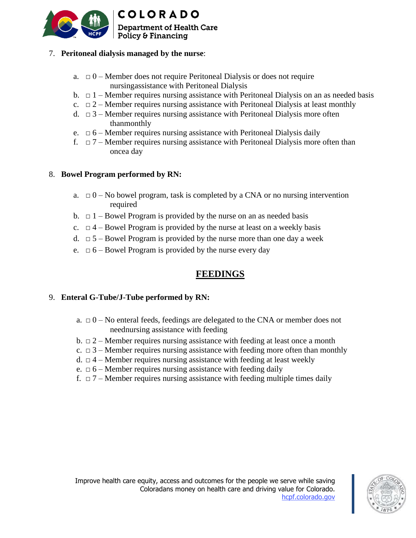

#### 7. **Peritoneal dialysis managed by the nurse**:

- a.  $\Box$  0 Member does not require Peritoneal Dialysis or does not require nursingassistance with Peritoneal Dialysis
- b.  $\Box$  1 Member requires nursing assistance with Peritoneal Dialysis on an as needed basis
- c.  $\Box$  2 Member requires nursing assistance with Peritoneal Dialysis at least monthly
- d.  $\Box$  3 Member requires nursing assistance with Peritoneal Dialysis more often thanmonthly
- e.  $\Box$  6 Member requires nursing assistance with Peritoneal Dialysis daily
- f.  $\Box$  7 Member requires nursing assistance with Peritoneal Dialysis more often than oncea day

#### 8. **Bowel Program performed by RN:**

- a.  $\Box$  0 No bowel program, task is completed by a CNA or no nursing intervention required
- b.  $\Box$  1 Bowel Program is provided by the nurse on an as needed basis
- c.  $\Box$  4 Bowel Program is provided by the nurse at least on a weekly basis
- d.  $\Box$  5 Bowel Program is provided by the nurse more than one day a week
- e.  $\Box$  6 Bowel Program is provided by the nurse every day

## **FEEDINGS**

#### 9. **Enteral G-Tube/J-Tube performed by RN:**

- a.  $\Box$  0 No enteral feeds, feedings are delegated to the CNA or member does not neednursing assistance with feeding
- b.  $\Box$  2 Member requires nursing assistance with feeding at least once a month
- c.  $\Box$  3 Member requires nursing assistance with feeding more often than monthly
- d.  $\Box$  4 Member requires nursing assistance with feeding at least weekly
- e.  $\Box$  6 Member requires nursing assistance with feeding daily
- f.  $\Box$  7 Member requires nursing assistance with feeding multiple times daily

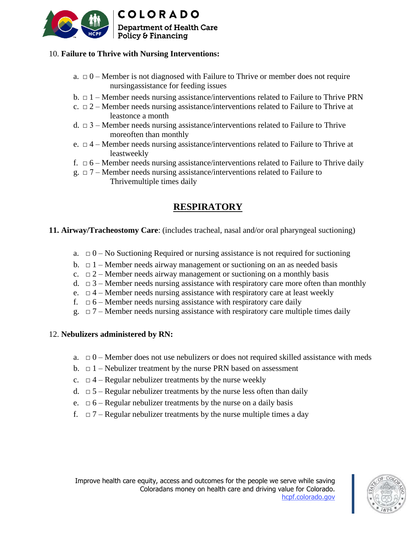

#### 10. **Failure to Thrive with Nursing Interventions:**

- a.  $\Box$  0 Member is not diagnosed with Failure to Thrive or member does not require nursingassistance for feeding issues
- $b. \Box 1$  Member needs nursing assistance/interventions related to Failure to Thrive PRN
- c.  $\Box$  2 Member needs nursing assistance/interventions related to Failure to Thrive at leastonce a month
- $d. \Box$  3 Member needs nursing assistance/interventions related to Failure to Thrive moreoften than monthly
- e.  $\Box$  4 Member needs nursing assistance/interventions related to Failure to Thrive at leastweekly
- f.  $\Box$  6 Member needs nursing assistance/interventions related to Failure to Thrive daily
- $g. \Box 7$  Member needs nursing assistance/interventions related to Failure to Thrivemultiple times daily

## **RESPIRATORY**

#### **11. Airway/Tracheostomy Care**: (includes tracheal, nasal and/or oral pharyngeal suctioning)

- a.  $\Box$  0 No Suctioning Required or nursing assistance is not required for suctioning
- b.  $\Box$  1 Member needs airway management or suctioning on an as needed basis
- c.  $\Box$  2 Member needs airway management or suctioning on a monthly basis
- d.  $\Box$  3 Member needs nursing assistance with respiratory care more often than monthly
- e.  $\Box$  4 Member needs nursing assistance with respiratory care at least weekly
- f.  $\Box$  6 Member needs nursing assistance with respiratory care daily
- g.  $\Box$  7 Member needs nursing assistance with respiratory care multiple times daily

#### 12. **Nebulizers administered by RN:**

- a.  $\Box$  0 Member does not use nebulizers or does not required skilled assistance with meds
- b.  $\Box$  1 Nebulizer treatment by the nurse PRN based on assessment
- c.  $\Box$  4 Regular nebulizer treatments by the nurse weekly
- d.  $\Box$  5 Regular nebulizer treatments by the nurse less often than daily
- e.  $\Box$  6 Regular nebulizer treatments by the nurse on a daily basis
- f.  $\Box$  7 Regular nebulizer treatments by the nurse multiple times a day



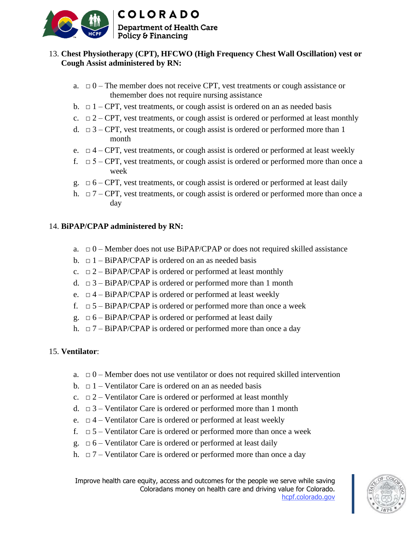

#### 13. **Chest Physiotherapy (CPT), HFCWO (High Frequency Chest Wall Oscillation) vest or Cough Assist administered by RN:**

- a.  $\Box$  0 The member does not receive CPT, vest treatments or cough assistance or themember does not require nursing assistance
- b.  $\Box$  1 CPT, vest treatments, or cough assist is ordered on an as needed basis
- c.  $\Box$  2 CPT, vest treatments, or cough assist is ordered or performed at least monthly
- d.  $\Box$  3 CPT, vest treatments, or cough assist is ordered or performed more than 1 month
- e.  $\Box$  4 CPT, vest treatments, or cough assist is ordered or performed at least weekly
- f.  $\Box$  5 CPT, vest treatments, or cough assist is ordered or performed more than once a week
- g.  $\Box$  6 CPT, vest treatments, or cough assist is ordered or performed at least daily
- h.  $\Box$  7 CPT, vest treatments, or cough assist is ordered or performed more than once a day

#### 14. **BiPAP/CPAP administered by RN:**

- a.  $\Box$  0 Member does not use BiPAP/CPAP or does not required skilled assistance
- b.  $\Box$  1 BiPAP/CPAP is ordered on an as needed basis
- c.  $\Box$  2 BiPAP/CPAP is ordered or performed at least monthly
- d.  $\Box$  3 BiPAP/CPAP is ordered or performed more than 1 month
- e.  $\Box$  4 BiPAP/CPAP is ordered or performed at least weekly
- f.  $\Box$  5 BiPAP/CPAP is ordered or performed more than once a week
- g.  $\Box$  6 BiPAP/CPAP is ordered or performed at least daily
- h.  $\Box$  7 BiPAP/CPAP is ordered or performed more than once a day

#### 15. **Ventilator**:

- a.  $\Box$  0 Member does not use ventilator or does not required skilled intervention
- b.  $\Box$  1 Ventilator Care is ordered on an as needed basis
- c.  $\Box$  2 Ventilator Care is ordered or performed at least monthly
- d.  $\Box$  3 Ventilator Care is ordered or performed more than 1 month
- e.  $\Box$  4 Ventilator Care is ordered or performed at least weekly
- f.  $\Box$  5 Ventilator Care is ordered or performed more than once a week
- g.  $\Box$  6 Ventilator Care is ordered or performed at least daily
- h.  $\Box$  7 Ventilator Care is ordered or performed more than once a day

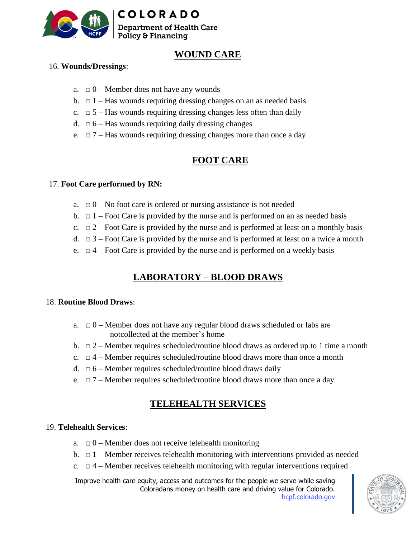

## **WOUND CARE**

#### 16. **Wounds/Dressings**:

- a.  $\Box$  0 Member does not have any wounds
- b.  $\Box$  1 Has wounds requiring dressing changes on an as needed basis
- c.  $\Box$  5 Has wounds requiring dressing changes less often than daily
- d.  $\Box$  6 Has wounds requiring daily dressing changes
- e.  $\Box$  7 Has wounds requiring dressing changes more than once a day

## **FOOT CARE**

#### 17. **Foot Care performed by RN:**

- a.  $\Box$  0 No foot care is ordered or nursing assistance is not needed
- b.  $\Box$  1 Foot Care is provided by the nurse and is performed on an as needed basis
- c.  $\Box$  2 Foot Care is provided by the nurse and is performed at least on a monthly basis
- d.  $\Box$  3 Foot Care is provided by the nurse and is performed at least on a twice a month
- e.  $\Box$  4 Foot Care is provided by the nurse and is performed on a weekly basis

## **LABORATORY – BLOOD DRAWS**

#### 18. **Routine Blood Draws**:

- a.  $\Box$  0 Member does not have any regular blood draws scheduled or labs are notcollected at the member's home
- b.  $\Box$  2 Member requires scheduled/routine blood draws as ordered up to 1 time a month
- c.  $\Box$  4 Member requires scheduled/routine blood draws more than once a month
- d.  $\Box$  6 Member requires scheduled/routine blood draws daily
- e.  $\Box$  7 Member requires scheduled/routine blood draws more than once a day

### **TELEHEALTH SERVICES**

#### 19. **Telehealth Services**:

- a.  $\Box$  0 Member does not receive telehealth monitoring
- b.  $\Box$  1 Member receives telehealth monitoring with interventions provided as needed
- c.  $\Box$  4 Member receives telehealth monitoring with regular interventions required

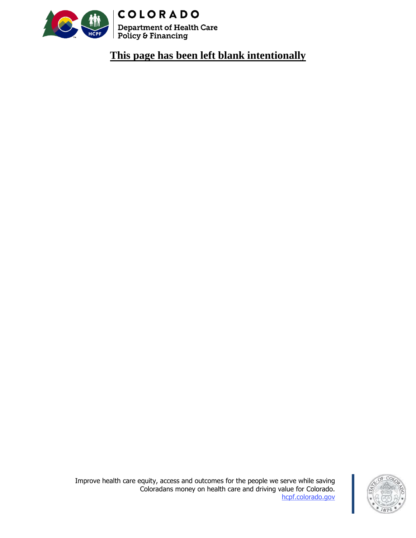

**This page has been left blank intentionally**

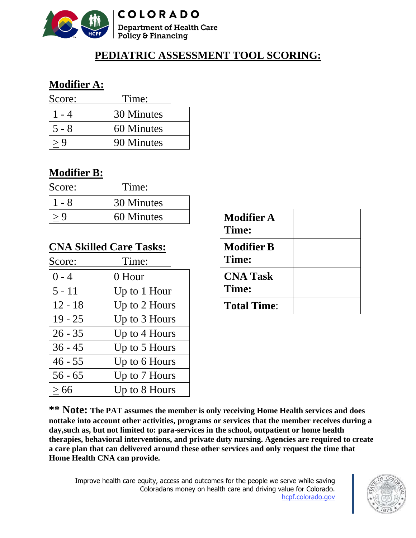

# **PEDIATRIC ASSESSMENT TOOL SCORING:**

# **Modifier A:**

| Score:  | Time:      |
|---------|------------|
|         | 30 Minutes |
| $5 - 8$ | 60 Minutes |
|         | 90 Minutes |

## **Modifier B:**

| Score: | Time:      |
|--------|------------|
| - 8    | 30 Minutes |
|        | 60 Minutes |

# **CNA Skilled Care Tasks:**

| Score:    | Time:         |
|-----------|---------------|
| $0 - 4$   | 0 Hour        |
| $5 - 11$  | Up to 1 Hour  |
| $12 - 18$ | Up to 2 Hours |
| $19 - 25$ | Up to 3 Hours |
| $26 - 35$ | Up to 4 Hours |
| $36 - 45$ | Up to 5 Hours |
| $46 - 55$ | Up to 6 Hours |
| $56 - 65$ | Up to 7 Hours |
|           | Up to 8 Hours |

| <b>Modifier A</b><br>Time: |  |
|----------------------------|--|
| <b>Modifier B</b><br>Time: |  |
| <b>CNA Task</b><br>Time:   |  |
| <b>Total Time:</b>         |  |

**\*\* Note: The PAT assumes the member is only receiving Home Health services and does nottake into account other activities, programs or services that the member receives during a day,such as, but not limited to: para-services in the school, outpatient or home health therapies, behavioral interventions, and private duty nursing. Agencies are required to create a care plan that can delivered around these other services and only request the time that Home Health CNA can provide.**